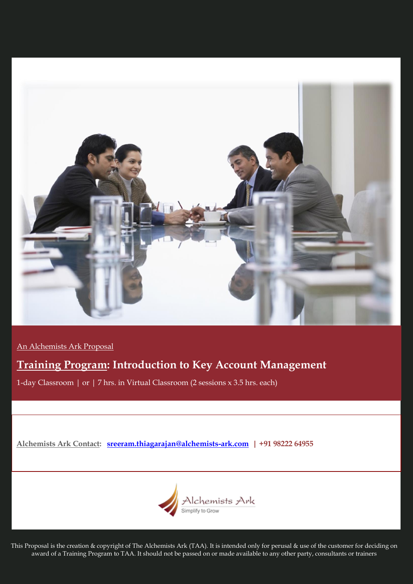

An Alchemists Ark Proposal

# **Training Program: Introduction to Key Account Management**

1-day Classroom | or | 7 hrs. in Virtual Classroom (2 sessions x 3.5 hrs. each)

**Alchemists Ark Contact: [sreeram.thiagarajan@alchemists-ark.com](mailto:sreeram.thiagarajan@alchemists-ark.com) | +91 98222 64955**



This Proposal is the creation & copyright of The Alchemists Ark (TAA). It is intended only for perusal & use of the customer for deciding on award of a Training Program to TAA. It should not be passed on or made available to any other party, consultants or trainers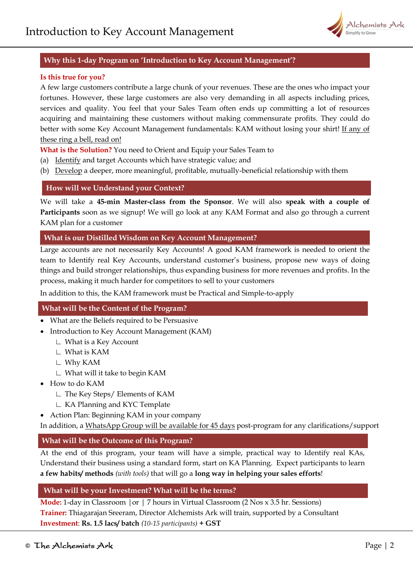

# **Why this 1-day Program on 'Introduction to Key Account Management'?**

#### **Is this true for you?**

A few large customers contribute a large chunk of your revenues. These are the ones who impact your fortunes. However, these large customers are also very demanding in all aspects including prices, services and quality. You feel that your Sales Team often ends up committing a lot of resources acquiring and maintaining these customers without making commensurate profits. They could do better with some Key Account Management fundamentals: KAM without losing your shirt! If any of these ring a bell, read on!

**What is the Solution?** You need to Orient and Equip your Sales Team to

- (a) Identify and target Accounts which have strategic value; and
- (b) Develop a deeper, more meaningful, profitable, mutually-beneficial relationship with them

## **How will we Understand your Context?**

We will take a **45-min Master-class from the Sponsor**. We will also **speak with a couple of Participants** soon as we signup! We will go look at any KAM Format and also go through a current KAM plan for a customer

## **What is our Distilled Wisdom on Key Account Management?**

Large accounts are not necessarily Key Accounts! A good KAM framework is needed to orient the team to Identify real Key Accounts, understand customer's business, propose new ways of doing things and build stronger relationships, thus expanding business for more revenues and profits. In the process, making it much harder for competitors to sell to your customers

In addition to this, the KAM framework must be Practical and Simple-to-apply

## **What will be the Content of the Program?**

- What are the Beliefs required to be Persuasive
- Introduction to Key Account Management (KAM)
	- ∟ What is a Key Account
	- ∟ What is KAM
	- ∟ Why KAM
	- ∟ What will it take to begin KAM
- How to do KAM
	- ∟ The Key Steps/ Elements of KAM
	- ∟ KA Planning and KYC Template
- Action Plan: Beginning KAM in your company

In addition, a WhatsApp Group will be available for 45 days post-program for any clarifications/support

# **What will be the Outcome of this Program?**

At the end of this program, your team will have a simple, practical way to Identify real KAs, Understand their business using a standard form, start on KA Planning. Expect participants to learn **a few habits/ methods** *(with tools)* that will go a **long way in helping your sales efforts**!

## **What will be your Investment? What will be the terms?**

**Mode:** 1-day in Classroom |or | 7 hours in Virtual Classroom (2 Nos x 3.5 hr. Sessions) **Trainer:** Thiagarajan Sreeram, Director Alchemists Ark will train, supported by a Consultant **Investment**: **Rs. 1.5 lacs/ batch** *(10-15 participants)* **+ GST**